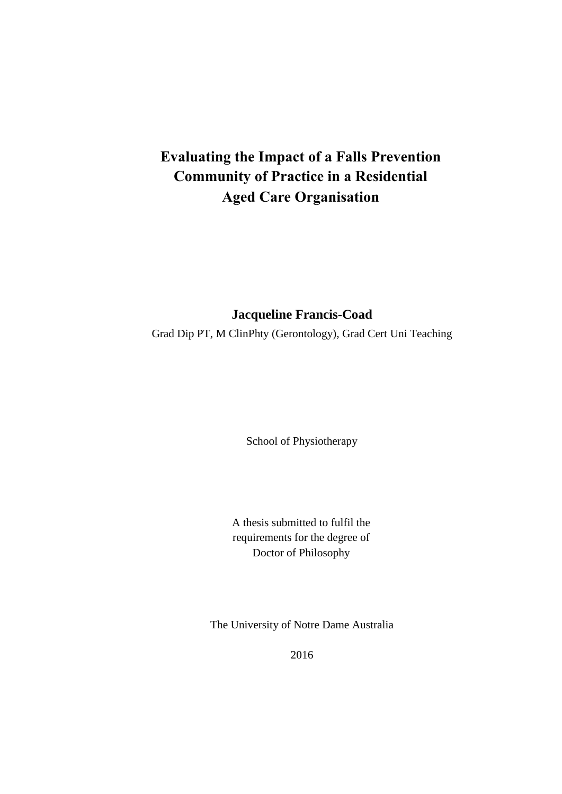# **Evaluating the Impact of a Falls Prevention Community of Practice in a Residential Aged Care Organisation**

## **Jacqueline Francis-Coad**

Grad Dip PT, M ClinPhty (Gerontology), Grad Cert Uni Teaching

School of Physiotherapy

A thesis submitted to fulfil the requirements for the degree of Doctor of Philosophy

The University of Notre Dame Australia

2016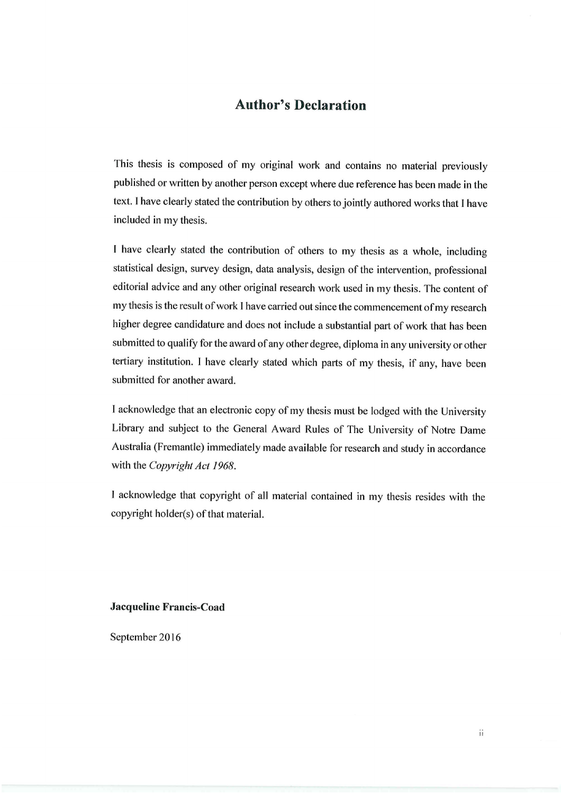### **Author's Declaration**

This thesis is composed of my original work and contains no material previously published or written by another person except where due reference has been made in the text. I have clearly stated the contribution by others to jointly authored works that I have included in my thesis.

I have clearly stated the contribution of others to my thesis as a whole, including statistical design, survey design, data analysis, design of the intervention, professional editorial advice and any other original research work used in my thesis. The content of my thesis is the result of work I have carried out since the commencement of my research higher degree candidature and does not include a substantial part of work that has been submitted to qualify for the award of any other degree, diploma in any university or other tertiary institution. I have clearly stated which parts of my thesis, if any, have been submitted for another award.

I acknowledge that an electronic copy of my thesis must be lodged with the University Library and subject to the General Award Rules of The University of Notre Dame Australia (Fremantle) immediately made available for research and study in accordance with the Copyright Act 1968.

I acknowledge that copyright of all material contained in my thesis resides with the copyright holder(s) of that material.

#### **Jacqueline Francis-Coad**

September 2016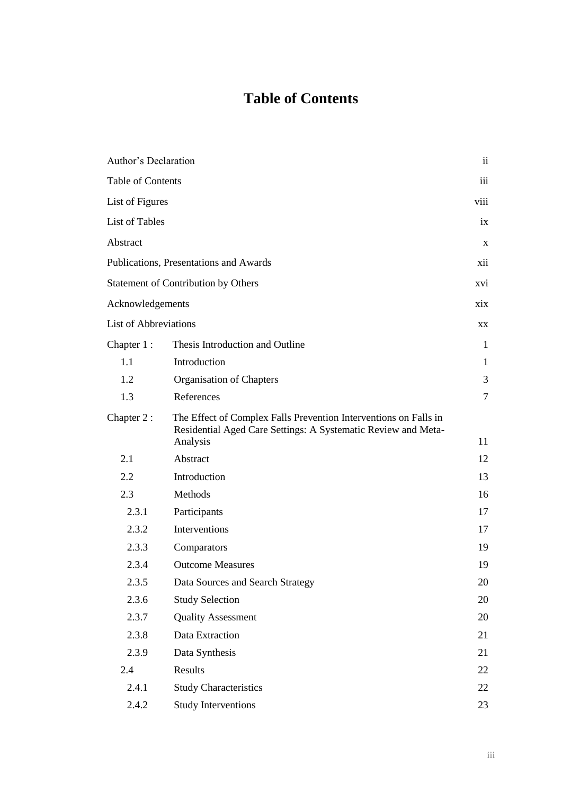# **Table of Contents**

| Author's Declaration         |                                                                                                                                   | $\overline{\mathbf{u}}$ |
|------------------------------|-----------------------------------------------------------------------------------------------------------------------------------|-------------------------|
| <b>Table of Contents</b>     |                                                                                                                                   | iii                     |
| List of Figures              |                                                                                                                                   | viii                    |
| <b>List of Tables</b>        |                                                                                                                                   | ix                      |
| Abstract                     |                                                                                                                                   | $\mathbf X$             |
|                              | Publications, Presentations and Awards                                                                                            | xii                     |
|                              | <b>Statement of Contribution by Others</b>                                                                                        | XV1                     |
| Acknowledgements             |                                                                                                                                   | xix                     |
| <b>List of Abbreviations</b> |                                                                                                                                   | XX                      |
| Chapter 1:                   | Thesis Introduction and Outline                                                                                                   | $\mathbf{1}$            |
| 1.1                          | Introduction                                                                                                                      | $\mathbf{1}$            |
| 1.2                          | Organisation of Chapters                                                                                                          | 3                       |
| 1.3                          | References                                                                                                                        | $\tau$                  |
| Chapter 2:                   | The Effect of Complex Falls Prevention Interventions on Falls in<br>Residential Aged Care Settings: A Systematic Review and Meta- |                         |
|                              | Analysis                                                                                                                          | 11                      |
| 2.1                          | Abstract                                                                                                                          | 12                      |
| 2.2                          | Introduction                                                                                                                      | 13                      |
| 2.3                          | Methods                                                                                                                           | 16                      |
| 2.3.1                        | Participants                                                                                                                      | 17                      |
| 2.3.2                        | Interventions                                                                                                                     | 17                      |
| 2.3.3                        | Comparators                                                                                                                       | 19                      |
| 2.3.4                        | <b>Outcome Measures</b>                                                                                                           | 19                      |
| 2.3.5                        | Data Sources and Search Strategy                                                                                                  | 20                      |
| 2.3.6                        | <b>Study Selection</b>                                                                                                            | 20                      |
| 2.3.7                        | <b>Quality Assessment</b>                                                                                                         | 20                      |
| 2.3.8                        | Data Extraction                                                                                                                   | 21                      |
| 2.3.9                        | Data Synthesis                                                                                                                    | 21                      |
| 2.4                          | Results                                                                                                                           | 22                      |
| 2.4.1                        | <b>Study Characteristics</b>                                                                                                      | 22                      |
| 2.4.2                        | <b>Study Interventions</b>                                                                                                        | 23                      |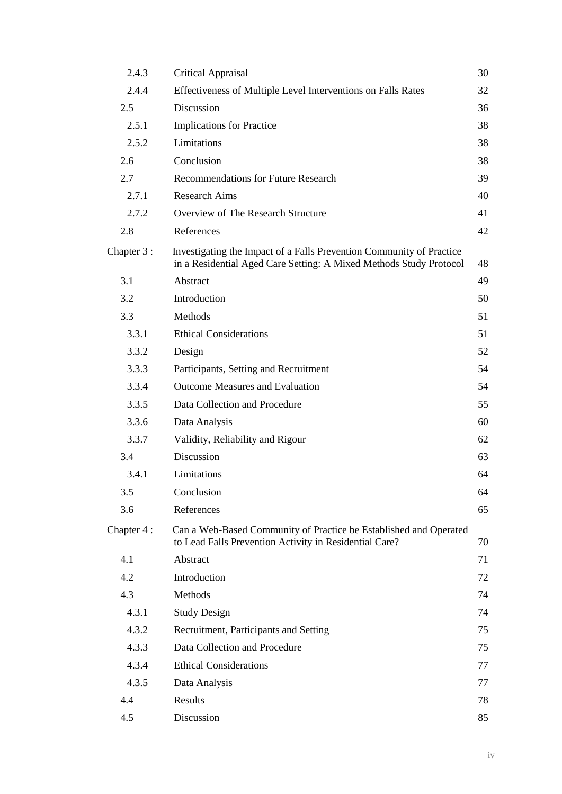| 2.4.3       | Critical Appraisal                                                                                                                         | 30 |
|-------------|--------------------------------------------------------------------------------------------------------------------------------------------|----|
| 2.4.4       | Effectiveness of Multiple Level Interventions on Falls Rates                                                                               | 32 |
| 2.5         | Discussion                                                                                                                                 | 36 |
| 2.5.1       | <b>Implications for Practice</b>                                                                                                           | 38 |
| 2.5.2       | Limitations                                                                                                                                | 38 |
| 2.6         | Conclusion                                                                                                                                 | 38 |
| 2.7         | <b>Recommendations for Future Research</b>                                                                                                 | 39 |
| 2.7.1       | <b>Research Aims</b>                                                                                                                       | 40 |
| 2.7.2       | Overview of The Research Structure                                                                                                         | 41 |
| 2.8         | References                                                                                                                                 | 42 |
| Chapter 3 : | Investigating the Impact of a Falls Prevention Community of Practice<br>in a Residential Aged Care Setting: A Mixed Methods Study Protocol | 48 |
| 3.1         | Abstract                                                                                                                                   | 49 |
| 3.2         | Introduction                                                                                                                               | 50 |
| 3.3         | Methods                                                                                                                                    | 51 |
| 3.3.1       | <b>Ethical Considerations</b>                                                                                                              | 51 |
| 3.3.2       | Design                                                                                                                                     | 52 |
| 3.3.3       | Participants, Setting and Recruitment                                                                                                      | 54 |
| 3.3.4       | <b>Outcome Measures and Evaluation</b>                                                                                                     | 54 |
| 3.3.5       | Data Collection and Procedure                                                                                                              | 55 |
| 3.3.6       | Data Analysis                                                                                                                              | 60 |
| 3.3.7       | Validity, Reliability and Rigour                                                                                                           | 62 |
| 3.4         | Discussion                                                                                                                                 | 63 |
| 3.4.1       | Limitations                                                                                                                                | 64 |
| 3.5         | Conclusion                                                                                                                                 | 64 |
| 3.6         | References                                                                                                                                 | 65 |
| Chapter 4:  | Can a Web-Based Community of Practice be Established and Operated<br>to Lead Falls Prevention Activity in Residential Care?                | 70 |
| 4.1         | Abstract                                                                                                                                   | 71 |
| 4.2         | Introduction                                                                                                                               | 72 |
| 4.3         | Methods                                                                                                                                    | 74 |
| 4.3.1       | <b>Study Design</b>                                                                                                                        | 74 |
| 4.3.2       | Recruitment, Participants and Setting                                                                                                      | 75 |
| 4.3.3       | Data Collection and Procedure                                                                                                              | 75 |
| 4.3.4       | <b>Ethical Considerations</b>                                                                                                              | 77 |
| 4.3.5       | Data Analysis                                                                                                                              | 77 |
| 4.4         | Results                                                                                                                                    | 78 |
| 4.5         | Discussion                                                                                                                                 | 85 |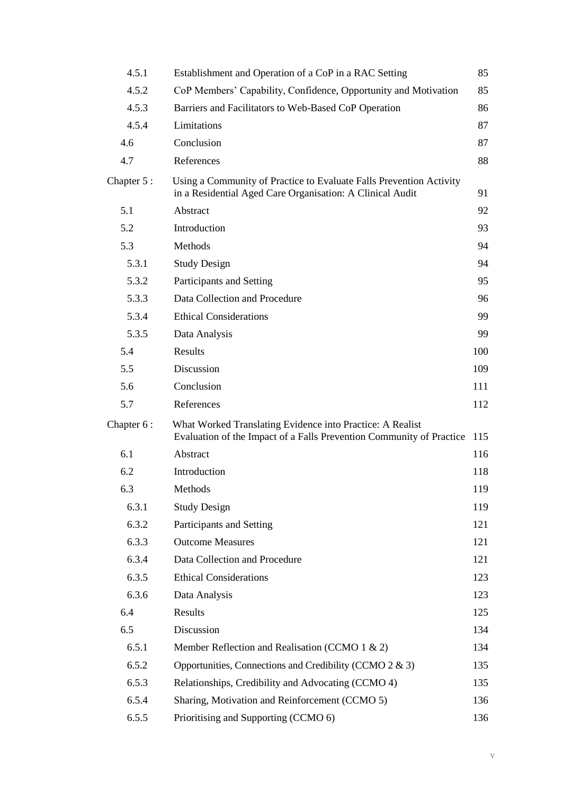| 4.5.1      | Establishment and Operation of a CoP in a RAC Setting                                                                             | 85  |
|------------|-----------------------------------------------------------------------------------------------------------------------------------|-----|
| 4.5.2      | CoP Members' Capability, Confidence, Opportunity and Motivation                                                                   | 85  |
| 4.5.3      | Barriers and Facilitators to Web-Based CoP Operation                                                                              | 86  |
| 4.5.4      | Limitations                                                                                                                       | 87  |
| 4.6        | Conclusion                                                                                                                        | 87  |
| 4.7        | References                                                                                                                        | 88  |
| Chapter 5: | Using a Community of Practice to Evaluate Falls Prevention Activity<br>in a Residential Aged Care Organisation: A Clinical Audit  | 91  |
| 5.1        | Abstract                                                                                                                          | 92  |
| 5.2        | Introduction                                                                                                                      | 93  |
| 5.3        | Methods                                                                                                                           | 94  |
| 5.3.1      | <b>Study Design</b>                                                                                                               | 94  |
| 5.3.2      | Participants and Setting                                                                                                          | 95  |
| 5.3.3      | Data Collection and Procedure                                                                                                     | 96  |
| 5.3.4      | <b>Ethical Considerations</b>                                                                                                     | 99  |
| 5.3.5      | Data Analysis                                                                                                                     | 99  |
| 5.4        | Results                                                                                                                           | 100 |
| 5.5        | Discussion                                                                                                                        | 109 |
| 5.6        | Conclusion                                                                                                                        | 111 |
| 5.7        | References                                                                                                                        | 112 |
| Chapter 6: | What Worked Translating Evidence into Practice: A Realist<br>Evaluation of the Impact of a Falls Prevention Community of Practice | 115 |
| 6.1        | Abstract                                                                                                                          | 116 |
| 6.2        | Introduction                                                                                                                      | 118 |
| 6.3        | Methods                                                                                                                           | 119 |
| 6.3.1      | <b>Study Design</b>                                                                                                               | 119 |
| 6.3.2      | Participants and Setting                                                                                                          | 121 |
| 6.3.3      | <b>Outcome Measures</b>                                                                                                           | 121 |
| 6.3.4      | Data Collection and Procedure                                                                                                     | 121 |
| 6.3.5      | <b>Ethical Considerations</b>                                                                                                     | 123 |
| 6.3.6      | Data Analysis                                                                                                                     | 123 |
| 6.4        | Results                                                                                                                           | 125 |
| 6.5        | Discussion                                                                                                                        | 134 |
| 6.5.1      | Member Reflection and Realisation (CCMO 1 & 2)                                                                                    | 134 |
| 6.5.2      | Opportunities, Connections and Credibility (CCMO 2 & 3)                                                                           | 135 |
| 6.5.3      | Relationships, Credibility and Advocating (CCMO 4)                                                                                | 135 |
| 6.5.4      | Sharing, Motivation and Reinforcement (CCMO 5)                                                                                    | 136 |
| 6.5.5      | Prioritising and Supporting (CCMO 6)                                                                                              | 136 |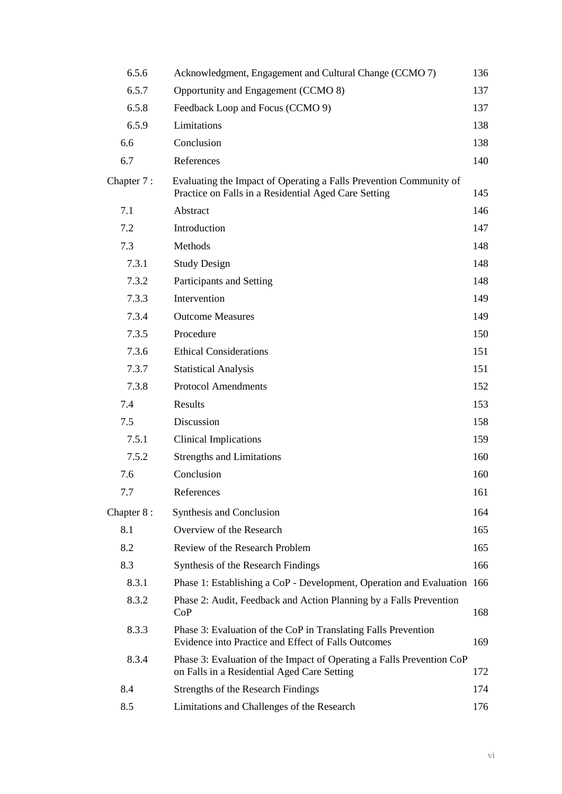| 6.5.6      | Acknowledgment, Engagement and Cultural Change (CCMO 7)                                                                    | 136 |
|------------|----------------------------------------------------------------------------------------------------------------------------|-----|
| 6.5.7      | Opportunity and Engagement (CCMO 8)                                                                                        | 137 |
| 6.5.8      | Feedback Loop and Focus (CCMO 9)                                                                                           | 137 |
| 6.5.9      | Limitations                                                                                                                | 138 |
| 6.6        | Conclusion                                                                                                                 | 138 |
| 6.7        | References                                                                                                                 | 140 |
| Chapter 7: | Evaluating the Impact of Operating a Falls Prevention Community of<br>Practice on Falls in a Residential Aged Care Setting | 145 |
| 7.1        | Abstract                                                                                                                   | 146 |
| 7.2        | Introduction                                                                                                               | 147 |
| 7.3        | Methods                                                                                                                    | 148 |
| 7.3.1      | <b>Study Design</b>                                                                                                        | 148 |
| 7.3.2      | Participants and Setting                                                                                                   | 148 |
| 7.3.3      | Intervention                                                                                                               | 149 |
| 7.3.4      | <b>Outcome Measures</b>                                                                                                    | 149 |
| 7.3.5      | Procedure                                                                                                                  | 150 |
| 7.3.6      | <b>Ethical Considerations</b>                                                                                              | 151 |
| 7.3.7      | <b>Statistical Analysis</b>                                                                                                | 151 |
| 7.3.8      | <b>Protocol Amendments</b>                                                                                                 | 152 |
| 7.4        | Results                                                                                                                    | 153 |
| 7.5        | Discussion                                                                                                                 | 158 |
| 7.5.1      | <b>Clinical Implications</b>                                                                                               | 159 |
| 7.5.2      | <b>Strengths and Limitations</b>                                                                                           | 160 |
| 7.6        | Conclusion                                                                                                                 | 160 |
| 7.7        | References                                                                                                                 | 161 |
| Chapter 8: | Synthesis and Conclusion                                                                                                   | 164 |
| 8.1        | Overview of the Research                                                                                                   | 165 |
| 8.2        | Review of the Research Problem                                                                                             | 165 |
| 8.3        | Synthesis of the Research Findings                                                                                         | 166 |
| 8.3.1      | Phase 1: Establishing a CoP - Development, Operation and Evaluation 166                                                    |     |
| 8.3.2      | Phase 2: Audit, Feedback and Action Planning by a Falls Prevention<br>CoP                                                  | 168 |
| 8.3.3      | Phase 3: Evaluation of the CoP in Translating Falls Prevention<br>Evidence into Practice and Effect of Falls Outcomes      | 169 |
| 8.3.4      | Phase 3: Evaluation of the Impact of Operating a Falls Prevention CoP<br>on Falls in a Residential Aged Care Setting       | 172 |
| 8.4        | Strengths of the Research Findings                                                                                         | 174 |
| 8.5        | Limitations and Challenges of the Research                                                                                 | 176 |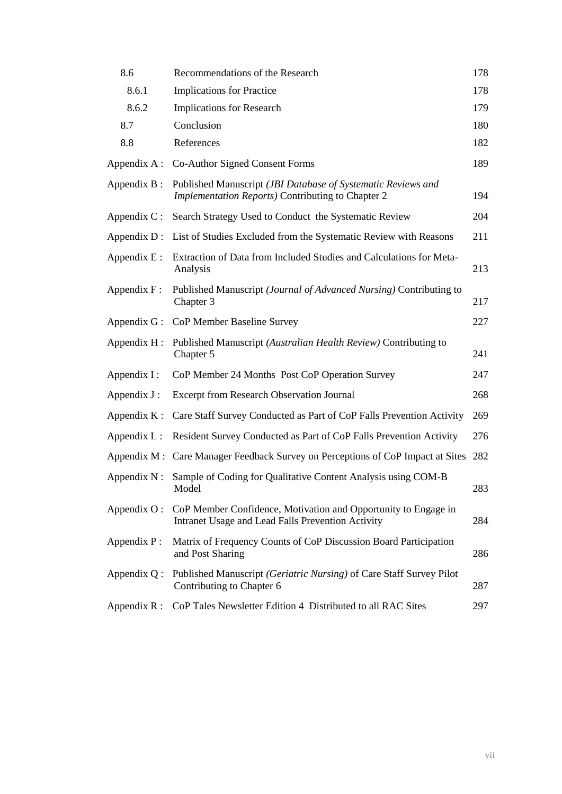| 8.6            | Recommendations of the Research                                                                                     | 178 |
|----------------|---------------------------------------------------------------------------------------------------------------------|-----|
| 8.6.1          | <b>Implications for Practice</b>                                                                                    | 178 |
| 8.6.2          | <b>Implications for Research</b>                                                                                    | 179 |
| 8.7            | Conclusion                                                                                                          | 180 |
| 8.8            | References                                                                                                          | 182 |
| Appendix A:    | Co-Author Signed Consent Forms                                                                                      | 189 |
| Appendix $B$ : | Published Manuscript (JBI Database of Systematic Reviews and<br>Implementation Reports) Contributing to Chapter 2   | 194 |
| Appendix C:    | Search Strategy Used to Conduct the Systematic Review                                                               | 204 |
| Appendix $D$ : | List of Studies Excluded from the Systematic Review with Reasons                                                    | 211 |
| Appendix $E$ : | Extraction of Data from Included Studies and Calculations for Meta-<br>Analysis                                     | 213 |
| Appendix F:    | Published Manuscript (Journal of Advanced Nursing) Contributing to<br>Chapter 3                                     | 217 |
| Appendix $G$ : | CoP Member Baseline Survey                                                                                          | 227 |
| Appendix $H$ : | Published Manuscript (Australian Health Review) Contributing to<br>Chapter 5                                        | 241 |
| Appendix I :   | CoP Member 24 Months Post CoP Operation Survey                                                                      | 247 |
| Appendix J:    | <b>Excerpt from Research Observation Journal</b>                                                                    | 268 |
| Appendix $K$ : | Care Staff Survey Conducted as Part of CoP Falls Prevention Activity                                                | 269 |
| Appendix $L$ : | Resident Survey Conducted as Part of CoP Falls Prevention Activity                                                  | 276 |
|                | Appendix M : Care Manager Feedback Survey on Perceptions of CoP Impact at Sites                                     | 282 |
| Appendix $N$ : | Sample of Coding for Qualitative Content Analysis using COM-B<br>Model                                              | 283 |
| Appendix O:    | CoP Member Confidence, Motivation and Opportunity to Engage in<br>Intranet Usage and Lead Falls Prevention Activity | 284 |
| Appendix P:    | Matrix of Frequency Counts of CoP Discussion Board Participation<br>and Post Sharing                                | 286 |
| Appendix $Q$ : | Published Manuscript (Geriatric Nursing) of Care Staff Survey Pilot<br>Contributing to Chapter 6                    | 287 |
| Appendix $R$ : | CoP Tales Newsletter Edition 4 Distributed to all RAC Sites                                                         | 297 |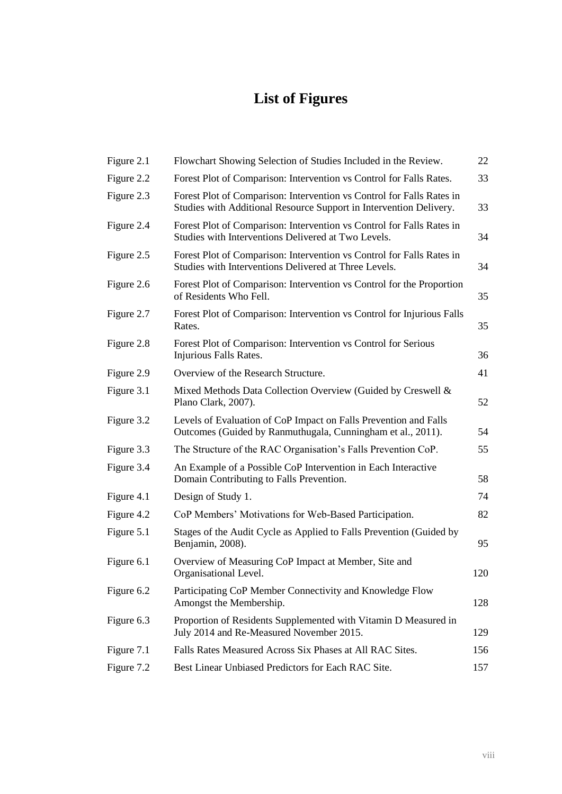# **List of Figures**

| Figure 2.1 | Flowchart Showing Selection of Studies Included in the Review.                                                                              | 22  |
|------------|---------------------------------------------------------------------------------------------------------------------------------------------|-----|
| Figure 2.2 | Forest Plot of Comparison: Intervention vs Control for Falls Rates.                                                                         | 33  |
| Figure 2.3 | Forest Plot of Comparison: Intervention vs Control for Falls Rates in<br>Studies with Additional Resource Support in Intervention Delivery. | 33  |
| Figure 2.4 | Forest Plot of Comparison: Intervention vs Control for Falls Rates in<br>Studies with Interventions Delivered at Two Levels.                | 34  |
| Figure 2.5 | Forest Plot of Comparison: Intervention vs Control for Falls Rates in<br>Studies with Interventions Delivered at Three Levels.              | 34  |
| Figure 2.6 | Forest Plot of Comparison: Intervention vs Control for the Proportion<br>of Residents Who Fell.                                             | 35  |
| Figure 2.7 | Forest Plot of Comparison: Intervention vs Control for Injurious Falls<br>Rates.                                                            | 35  |
| Figure 2.8 | Forest Plot of Comparison: Intervention vs Control for Serious<br>Injurious Falls Rates.                                                    | 36  |
| Figure 2.9 | Overview of the Research Structure.                                                                                                         | 41  |
| Figure 3.1 | Mixed Methods Data Collection Overview (Guided by Creswell &<br>Plano Clark, 2007).                                                         | 52  |
| Figure 3.2 | Levels of Evaluation of CoP Impact on Falls Prevention and Falls<br>Outcomes (Guided by Ranmuthugala, Cunningham et al., 2011).             | 54  |
| Figure 3.3 | The Structure of the RAC Organisation's Falls Prevention CoP.                                                                               | 55  |
| Figure 3.4 | An Example of a Possible CoP Intervention in Each Interactive<br>Domain Contributing to Falls Prevention.                                   | 58  |
| Figure 4.1 | Design of Study 1.                                                                                                                          | 74  |
| Figure 4.2 | CoP Members' Motivations for Web-Based Participation.                                                                                       | 82  |
| Figure 5.1 | Stages of the Audit Cycle as Applied to Falls Prevention (Guided by<br>Benjamin, 2008).                                                     | 95  |
| Figure 6.1 | Overview of Measuring CoP Impact at Member, Site and<br>Organisational Level.                                                               | 120 |
| Figure 6.2 | Participating CoP Member Connectivity and Knowledge Flow<br>Amongst the Membership.                                                         | 128 |
| Figure 6.3 | Proportion of Residents Supplemented with Vitamin D Measured in<br>July 2014 and Re-Measured November 2015.                                 | 129 |
| Figure 7.1 | Falls Rates Measured Across Six Phases at All RAC Sites.                                                                                    | 156 |
| Figure 7.2 | Best Linear Unbiased Predictors for Each RAC Site.                                                                                          | 157 |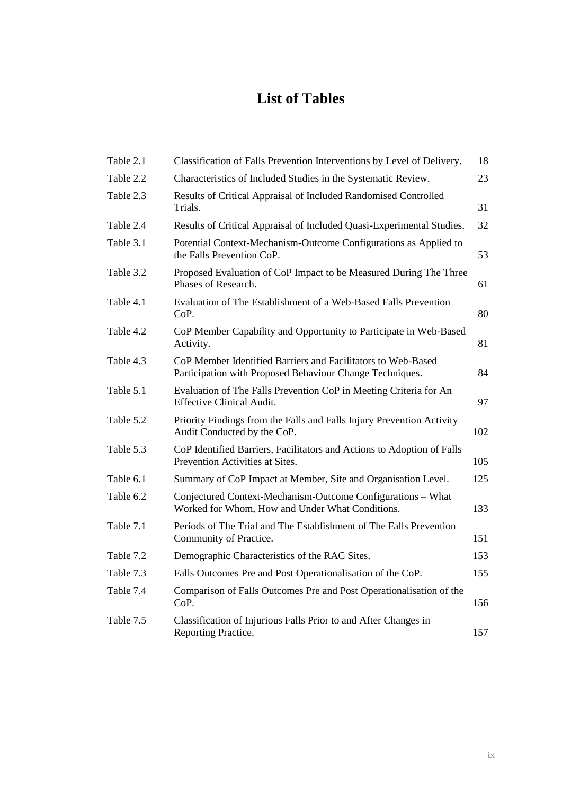# **List of Tables**

| Table 2.1 | Classification of Falls Prevention Interventions by Level of Delivery.                                                   | 18  |
|-----------|--------------------------------------------------------------------------------------------------------------------------|-----|
| Table 2.2 | Characteristics of Included Studies in the Systematic Review.                                                            | 23  |
| Table 2.3 | Results of Critical Appraisal of Included Randomised Controlled<br>Trials.                                               | 31  |
| Table 2.4 | Results of Critical Appraisal of Included Quasi-Experimental Studies.                                                    | 32  |
| Table 3.1 | Potential Context-Mechanism-Outcome Configurations as Applied to<br>the Falls Prevention CoP.                            | 53  |
| Table 3.2 | Proposed Evaluation of CoP Impact to be Measured During The Three<br>Phases of Research.                                 | 61  |
| Table 4.1 | Evaluation of The Establishment of a Web-Based Falls Prevention<br>CoP.                                                  | 80  |
| Table 4.2 | CoP Member Capability and Opportunity to Participate in Web-Based<br>Activity.                                           | 81  |
| Table 4.3 | CoP Member Identified Barriers and Facilitators to Web-Based<br>Participation with Proposed Behaviour Change Techniques. | 84  |
| Table 5.1 | Evaluation of The Falls Prevention CoP in Meeting Criteria for An<br><b>Effective Clinical Audit.</b>                    | 97  |
| Table 5.2 | Priority Findings from the Falls and Falls Injury Prevention Activity<br>Audit Conducted by the CoP.                     | 102 |
| Table 5.3 | CoP Identified Barriers, Facilitators and Actions to Adoption of Falls<br>Prevention Activities at Sites.                | 105 |
| Table 6.1 | Summary of CoP Impact at Member, Site and Organisation Level.                                                            | 125 |
| Table 6.2 | Conjectured Context-Mechanism-Outcome Configurations – What<br>Worked for Whom, How and Under What Conditions.           | 133 |
| Table 7.1 | Periods of The Trial and The Establishment of The Falls Prevention<br>Community of Practice.                             | 151 |
| Table 7.2 | Demographic Characteristics of the RAC Sites.                                                                            | 153 |
| Table 7.3 | Falls Outcomes Pre and Post Operationalisation of the CoP.                                                               | 155 |
| Table 7.4 | Comparison of Falls Outcomes Pre and Post Operationalisation of the<br>CoP.                                              | 156 |
| Table 7.5 | Classification of Injurious Falls Prior to and After Changes in<br>Reporting Practice.                                   | 157 |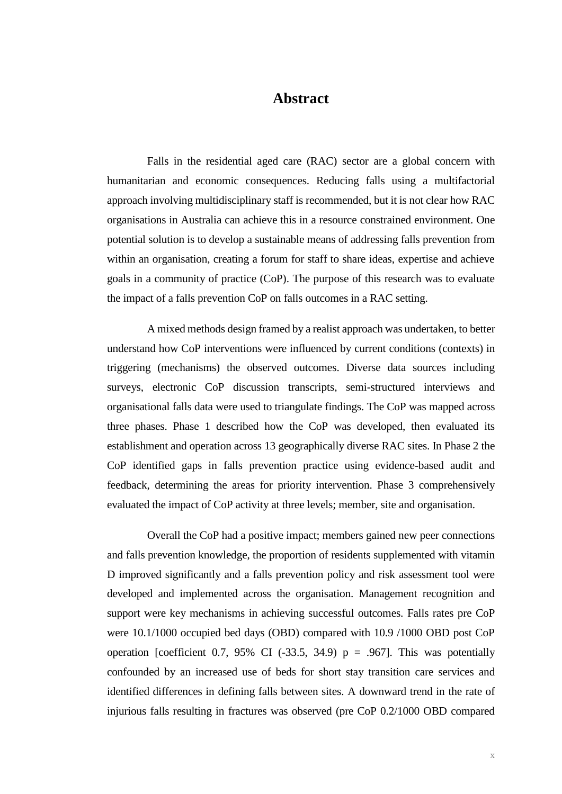## **Abstract**

Falls in the residential aged care (RAC) sector are a global concern with humanitarian and economic consequences. Reducing falls using a multifactorial approach involving multidisciplinary staff is recommended, but it is not clear how RAC organisations in Australia can achieve this in a resource constrained environment. One potential solution is to develop a sustainable means of addressing falls prevention from within an organisation, creating a forum for staff to share ideas, expertise and achieve goals in a community of practice (CoP). The purpose of this research was to evaluate the impact of a falls prevention CoP on falls outcomes in a RAC setting.

A mixed methods design framed by a realist approach was undertaken, to better understand how CoP interventions were influenced by current conditions (contexts) in triggering (mechanisms) the observed outcomes. Diverse data sources including surveys, electronic CoP discussion transcripts, semi-structured interviews and organisational falls data were used to triangulate findings. The CoP was mapped across three phases. Phase 1 described how the CoP was developed, then evaluated its establishment and operation across 13 geographically diverse RAC sites. In Phase 2 the CoP identified gaps in falls prevention practice using evidence-based audit and feedback, determining the areas for priority intervention. Phase 3 comprehensively evaluated the impact of CoP activity at three levels; member, site and organisation.

Overall the CoP had a positive impact; members gained new peer connections and falls prevention knowledge, the proportion of residents supplemented with vitamin D improved significantly and a falls prevention policy and risk assessment tool were developed and implemented across the organisation. Management recognition and support were key mechanisms in achieving successful outcomes. Falls rates pre CoP were 10.1/1000 occupied bed days (OBD) compared with 10.9 /1000 OBD post CoP operation [coefficient 0.7, 95% CI (-33.5, 34.9)  $p = .967$ ]. This was potentially confounded by an increased use of beds for short stay transition care services and identified differences in defining falls between sites. A downward trend in the rate of injurious falls resulting in fractures was observed (pre CoP 0.2/1000 OBD compared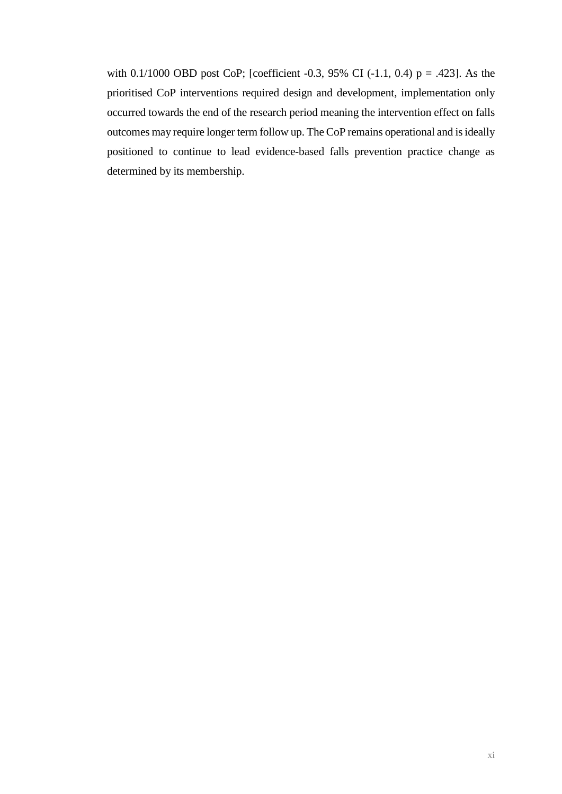with 0.1/1000 OBD post CoP; [coefficient -0.3, 95% CI (-1.1, 0.4) p = .423]. As the prioritised CoP interventions required design and development, implementation only occurred towards the end of the research period meaning the intervention effect on falls outcomes may require longer term follow up. The CoP remains operational and is ideally positioned to continue to lead evidence-based falls prevention practice change as determined by its membership.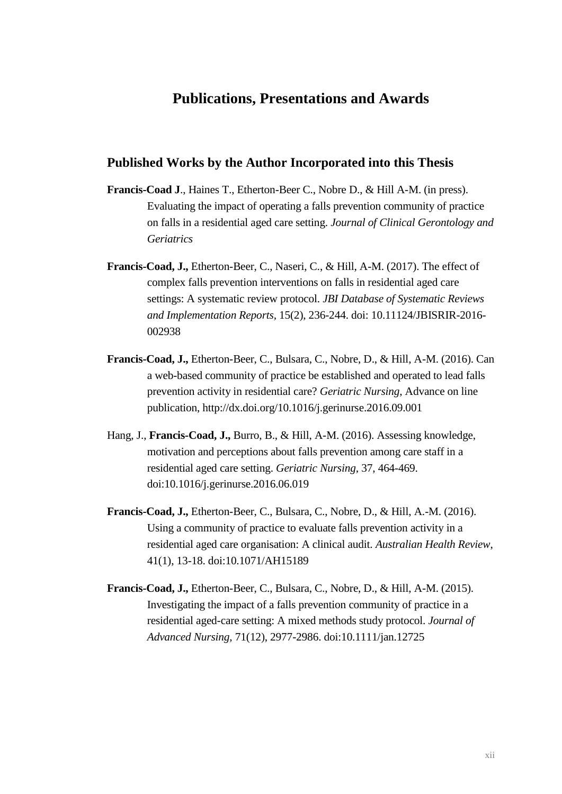## **Publications, Presentations and Awards**

#### **Published Works by the Author Incorporated into this Thesis**

- **Francis-Coad J**., Haines T., Etherton-Beer C., Nobre D., & Hill A-M. (in press). Evaluating the impact of operating a falls prevention community of practice on falls in a residential aged care setting. *Journal of Clinical Gerontology and Geriatrics*
- **Francis-Coad, J.,** Etherton-Beer, C., Naseri, C., & Hill, A-M. (2017). The effect of complex falls prevention interventions on falls in residential aged care settings: A systematic review protocol. *JBI Database of Systematic Reviews and Implementation Reports,* 15(2), 236-244. doi: 10.11124/JBISRIR-2016- 002938
- **Francis-Coad, J.,** Etherton-Beer, C., Bulsara, C., Nobre, D., & Hill, A-M. (2016). Can a web-based community of practice be established and operated to lead falls prevention activity in residential care? *Geriatric Nursing,* Advance on line publication, http://dx.doi.org/10.1016/j.gerinurse.2016.09.001
- Hang, J., **Francis-Coad, J.,** Burro, B., & Hill, A-M. (2016). Assessing knowledge, motivation and perceptions about falls prevention among care staff in a residential aged care setting. *Geriatric Nursing,* 37, 464-469. doi:10.1016/j.gerinurse.2016.06.019
- **Francis-Coad, J.,** Etherton-Beer, C., Bulsara, C., Nobre, D., & Hill, A.-M. (2016). Using a community of practice to evaluate falls prevention activity in a residential aged care organisation: A clinical audit. *Australian Health Review*, 41(1), 13-18. doi:10.1071/AH15189
- **Francis-Coad, J.,** Etherton-Beer, C., Bulsara, C., Nobre, D., & Hill, A-M. (2015). Investigating the impact of a falls prevention community of practice in a residential aged-care setting: A mixed methods study protocol. *Journal of Advanced Nursing*, 71(12), 2977-2986. doi:10.1111/jan.12725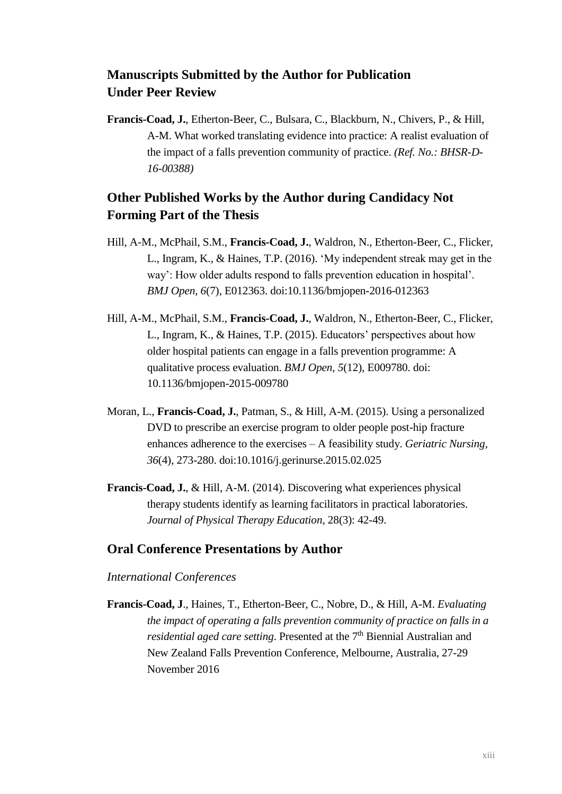## **Manuscripts Submitted by the Author for Publication Under Peer Review**

**Francis-Coad, J.**, Etherton-Beer, C., Bulsara, C., Blackburn, N., Chivers, P., & Hill, A-M. What worked translating evidence into practice: A realist evaluation of the impact of a falls prevention community of practice. *(Ref. No.: BHSR-D-16-00388)*

## **Other Published Works by the Author during Candidacy Not Forming Part of the Thesis**

- Hill, A-M., McPhail, S.M., **Francis-Coad, J.**, Waldron, N., Etherton-Beer, C., Flicker, L., Ingram, K., & Haines, T.P. (2016). 'My independent streak may get in the way': How older adults respond to falls prevention education in hospital'. *BMJ Open, 6*(7), E012363. doi:10.1136/bmjopen-2016-012363
- Hill, A-M., McPhail, S.M., **Francis-Coad, J.**, Waldron, N., Etherton-Beer, C., Flicker, L., Ingram, K., & Haines, T.P. (2015). Educators' perspectives about how older hospital patients can engage in a falls prevention programme: A qualitative process evaluation. *BMJ Open, 5*(12), E009780. doi: 10.1136/bmjopen-2015-009780
- Moran, L., **Francis-Coad, J.**, Patman, S., & Hill, A-M. (2015). Using a personalized DVD to prescribe an exercise program to older people post-hip fracture enhances adherence to the exercises – A feasibility study. *Geriatric Nursing, 36*(4), 273-280. doi:10.1016/j.gerinurse.2015.02.025
- **Francis-Coad, J.**, & Hill, A-M. (2014). Discovering what experiences physical therapy students identify as learning facilitators in practical laboratories. *Journal of Physical Therapy Education,* 28(3): 42-49.

### **Oral Conference Presentations by Author**

#### *International Conferences*

**Francis-Coad, J**., Haines, T., Etherton-Beer, C., Nobre, D., & Hill, A-M. *Evaluating the impact of operating a falls prevention community of practice on falls in a residential aged care setting*. Presented at the 7<sup>th</sup> Biennial Australian and New Zealand Falls Prevention Conference, Melbourne, Australia, 27-29 November 2016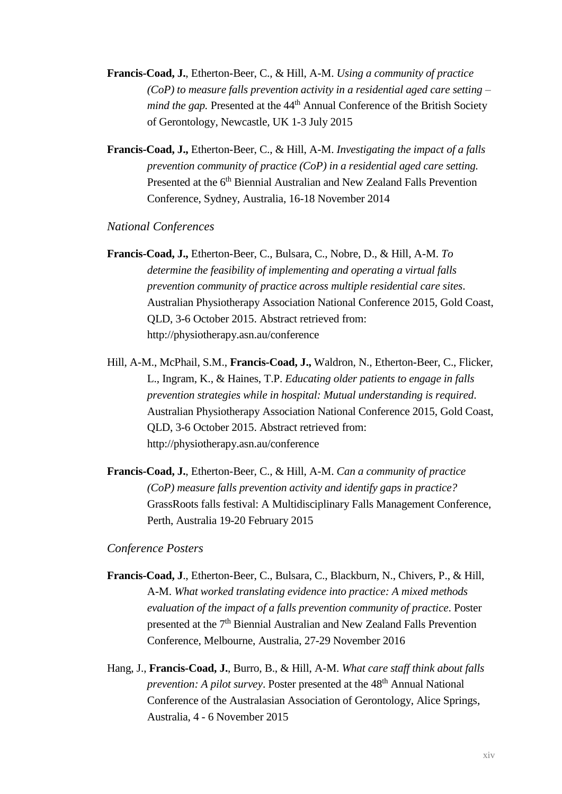- **Francis-Coad, J.**, Etherton-Beer, C., & Hill, A-M. *Using a community of practice (CoP) to measure falls prevention activity in a residential aged care setting – mind the gap.* Presented at the 44<sup>th</sup> Annual Conference of the British Society of Gerontology, Newcastle, UK 1-3 July 2015
- **Francis-Coad, J.,** Etherton-Beer, C., & Hill, A-M. *Investigating the impact of a falls prevention community of practice (CoP) in a residential aged care setting.* Presented at the 6<sup>th</sup> Biennial Australian and New Zealand Falls Prevention Conference, Sydney, Australia, 16-18 November 2014

#### *National Conferences*

- **Francis-Coad, J.,** Etherton-Beer, C., Bulsara, C., Nobre, D., & Hill, A-M. *To determine the feasibility of implementing and operating a virtual falls prevention community of practice across multiple residential care sites*. Australian Physiotherapy Association National Conference 2015*,* Gold Coast, QLD, 3-6 October 2015. Abstract retrieved from: http://physiotherapy.asn.au/conference
- Hill, A-M., McPhail, S.M., **Francis-Coad, J.,** Waldron, N., Etherton-Beer, C., Flicker, L., Ingram, K., & Haines, T.P. *Educating older patients to engage in falls prevention strategies while in hospital: Mutual understanding is required*. Australian Physiotherapy Association National Conference 2015, Gold Coast, QLD, 3-6 October 2015. Abstract retrieved from: http://physiotherapy.asn.au/conference
- **Francis-Coad, J.**, Etherton-Beer, C., & Hill, A-M. *Can a community of practice (CoP) measure falls prevention activity and identify gaps in practice?* GrassRoots falls festival: A Multidisciplinary Falls Management Conference, Perth, Australia 19-20 February 2015

#### *Conference Posters*

- **Francis-Coad, J**., Etherton-Beer, C., Bulsara, C., Blackburn, N., Chivers, P., & Hill, A-M. *What worked translating evidence into practice: A mixed methods evaluation of the impact of a falls prevention community of practice*. Poster presented at the 7<sup>th</sup> Biennial Australian and New Zealand Falls Prevention Conference, Melbourne, Australia, 27-29 November 2016
- Hang, J., **Francis-Coad, J.**, Burro, B., & Hill, A-M. *What care staff think about falls prevention: A pilot survey.* Poster presented at the 48<sup>th</sup> Annual National Conference of the Australasian Association of Gerontology, Alice Springs, Australia, 4 - 6 November 2015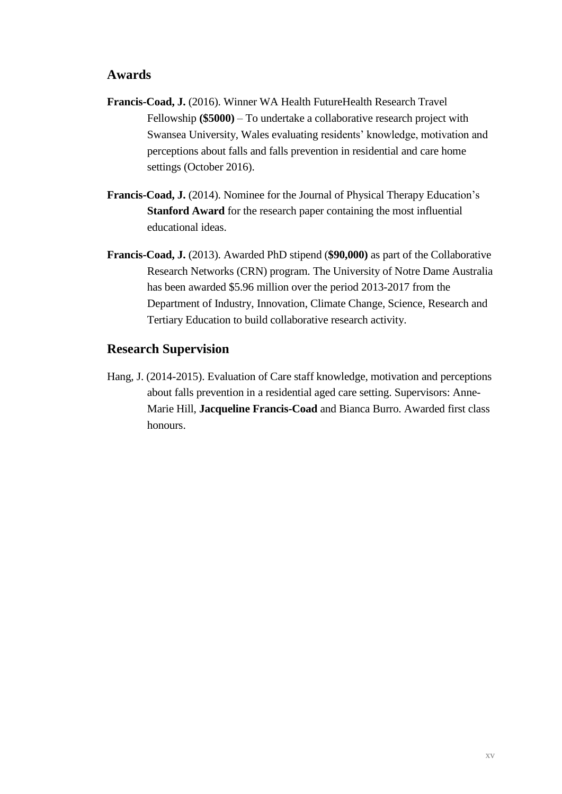### **Awards**

- **Francis-Coad, J.** (2016). Winner WA Health FutureHealth Research Travel Fellowship **(\$5000)** – To undertake a collaborative research project with Swansea University, Wales evaluating residents' knowledge, motivation and perceptions about falls and falls prevention in residential and care home settings (October 2016).
- **Francis-Coad, J.** (2014). Nominee for the Journal of Physical Therapy Education's **Stanford Award** for the research paper containing the most influential educational ideas.
- **Francis-Coad, J.** (2013). Awarded PhD stipend (**\$90,000)** as part of the Collaborative Research Networks (CRN) program. The University of Notre Dame Australia has been awarded \$5.96 million over the period 2013-2017 from the Department of Industry, Innovation, Climate Change, Science, Research and Tertiary Education to build collaborative research activity.

### **Research Supervision**

Hang, J. (2014-2015). Evaluation of Care staff knowledge, motivation and perceptions about falls prevention in a residential aged care setting. Supervisors: Anne-Marie Hill, **Jacqueline Francis-Coad** and Bianca Burro. Awarded first class honours.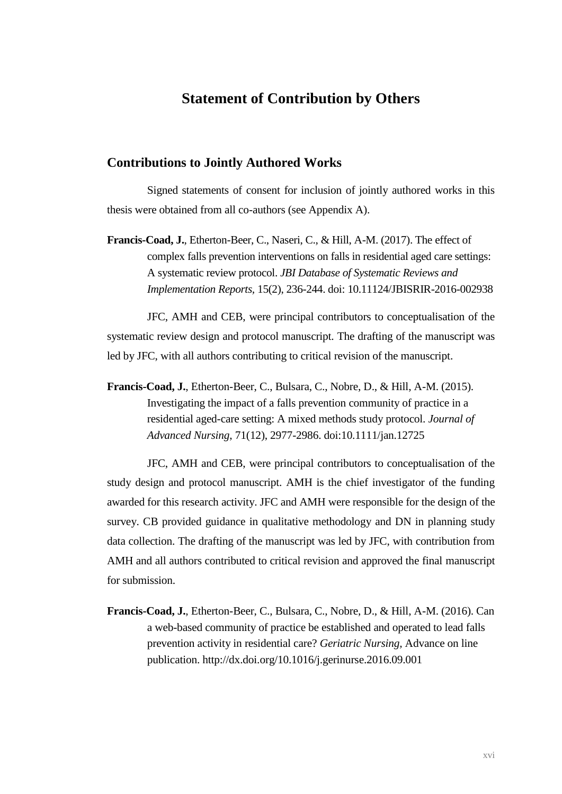## **Statement of Contribution by Others**

#### **Contributions to Jointly Authored Works**

Signed statements of consent for inclusion of jointly authored works in this thesis were obtained from all co-authors (see Appendix A).

**Francis-Coad, J.**, Etherton-Beer, C., Naseri, C., & Hill, A-M. (2017). The effect of complex falls prevention interventions on falls in residential aged care settings: A systematic review protocol. *JBI Database of Systematic Reviews and Implementation Reports,* 15(2), 236-244. doi: 10.11124/JBISRIR-2016-002938

JFC, AMH and CEB, were principal contributors to conceptualisation of the systematic review design and protocol manuscript. The drafting of the manuscript was led by JFC, with all authors contributing to critical revision of the manuscript.

**Francis-Coad, J.**, Etherton-Beer, C., Bulsara, C., Nobre, D., & Hill, A-M. (2015). Investigating the impact of a falls prevention community of practice in a residential aged-care setting: A mixed methods study protocol. *Journal of Advanced Nursing*, 71(12), 2977-2986. doi:10.1111/jan.12725

JFC, AMH and CEB, were principal contributors to conceptualisation of the study design and protocol manuscript. AMH is the chief investigator of the funding awarded for this research activity. JFC and AMH were responsible for the design of the survey. CB provided guidance in qualitative methodology and DN in planning study data collection. The drafting of the manuscript was led by JFC, with contribution from AMH and all authors contributed to critical revision and approved the final manuscript for submission.

**Francis-Coad, J.**, Etherton-Beer, C., Bulsara, C., Nobre, D., & Hill, A-M. (2016). Can a web-based community of practice be established and operated to lead falls prevention activity in residential care? *Geriatric Nursing,* Advance on line publication. http://dx.doi.org/10.1016/j.gerinurse.2016.09.001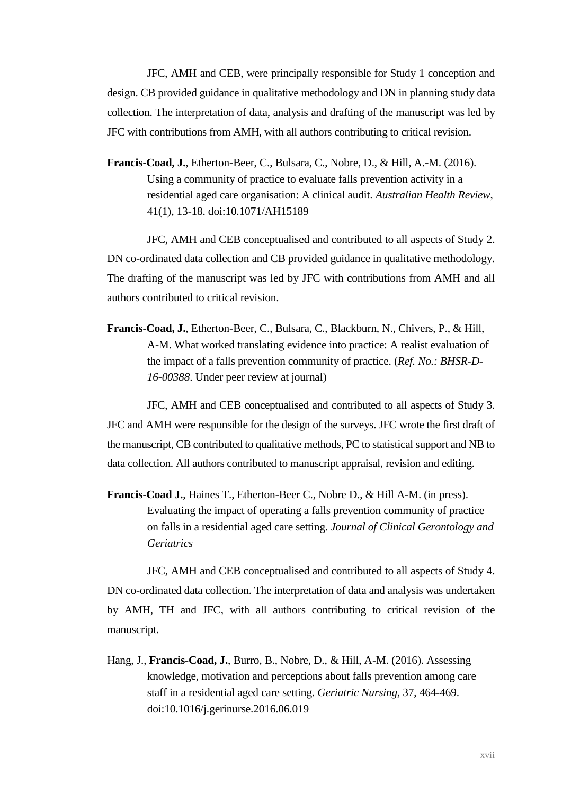JFC, AMH and CEB, were principally responsible for Study 1 conception and design. CB provided guidance in qualitative methodology and DN in planning study data collection. The interpretation of data, analysis and drafting of the manuscript was led by JFC with contributions from AMH, with all authors contributing to critical revision.

**Francis-Coad, J.**, Etherton-Beer, C., Bulsara, C., Nobre, D., & Hill, A.-M. (2016). Using a community of practice to evaluate falls prevention activity in a residential aged care organisation: A clinical audit. *Australian Health Review*, 41(1), 13-18. doi:10.1071/AH15189

JFC, AMH and CEB conceptualised and contributed to all aspects of Study 2. DN co-ordinated data collection and CB provided guidance in qualitative methodology. The drafting of the manuscript was led by JFC with contributions from AMH and all authors contributed to critical revision.

**Francis-Coad, J.**, Etherton-Beer, C., Bulsara, C., Blackburn, N., Chivers, P., & Hill, A-M. What worked translating evidence into practice: A realist evaluation of the impact of a falls prevention community of practice. (*Ref. No.: BHSR-D-16-00388*. Under peer review at journal)

JFC, AMH and CEB conceptualised and contributed to all aspects of Study 3. JFC and AMH were responsible for the design of the surveys. JFC wrote the first draft of the manuscript, CB contributed to qualitative methods, PC to statistical support and NB to data collection. All authors contributed to manuscript appraisal, revision and editing.

**Francis-Coad J.**, Haines T., Etherton-Beer C., Nobre D., & Hill A-M. (in press). Evaluating the impact of operating a falls prevention community of practice on falls in a residential aged care setting. *Journal of Clinical Gerontology and Geriatrics*

JFC, AMH and CEB conceptualised and contributed to all aspects of Study 4. DN co-ordinated data collection. The interpretation of data and analysis was undertaken by AMH, TH and JFC, with all authors contributing to critical revision of the manuscript.

Hang, J., **Francis-Coad, J.**, Burro, B., Nobre, D., & Hill, A-M. (2016). Assessing knowledge, motivation and perceptions about falls prevention among care staff in a residential aged care setting. *Geriatric Nursing,* 37, 464-469. doi:10.1016/j.gerinurse.2016.06.019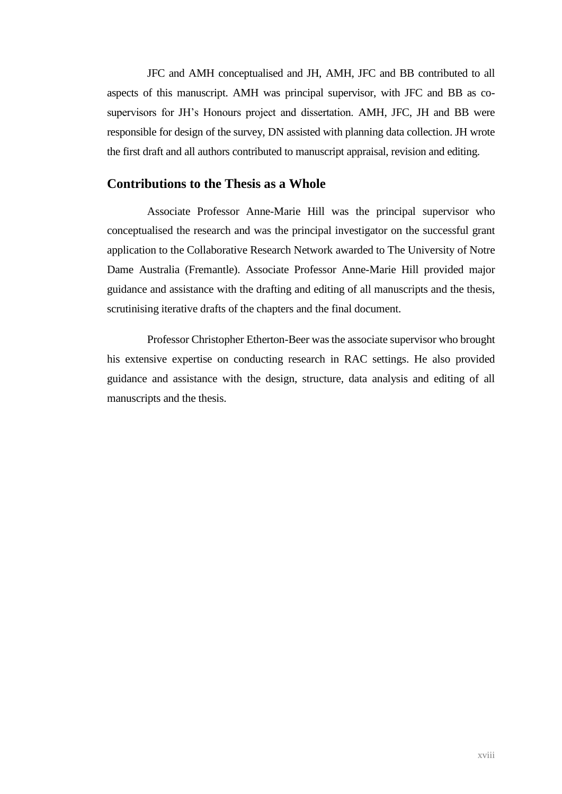JFC and AMH conceptualised and JH, AMH, JFC and BB contributed to all aspects of this manuscript. AMH was principal supervisor, with JFC and BB as cosupervisors for JH's Honours project and dissertation. AMH, JFC, JH and BB were responsible for design of the survey, DN assisted with planning data collection. JH wrote the first draft and all authors contributed to manuscript appraisal, revision and editing.

#### **Contributions to the Thesis as a Whole**

Associate Professor Anne-Marie Hill was the principal supervisor who conceptualised the research and was the principal investigator on the successful grant application to the Collaborative Research Network awarded to The University of Notre Dame Australia (Fremantle). Associate Professor Anne-Marie Hill provided major guidance and assistance with the drafting and editing of all manuscripts and the thesis, scrutinising iterative drafts of the chapters and the final document.

Professor Christopher Etherton-Beer was the associate supervisor who brought his extensive expertise on conducting research in RAC settings. He also provided guidance and assistance with the design, structure, data analysis and editing of all manuscripts and the thesis.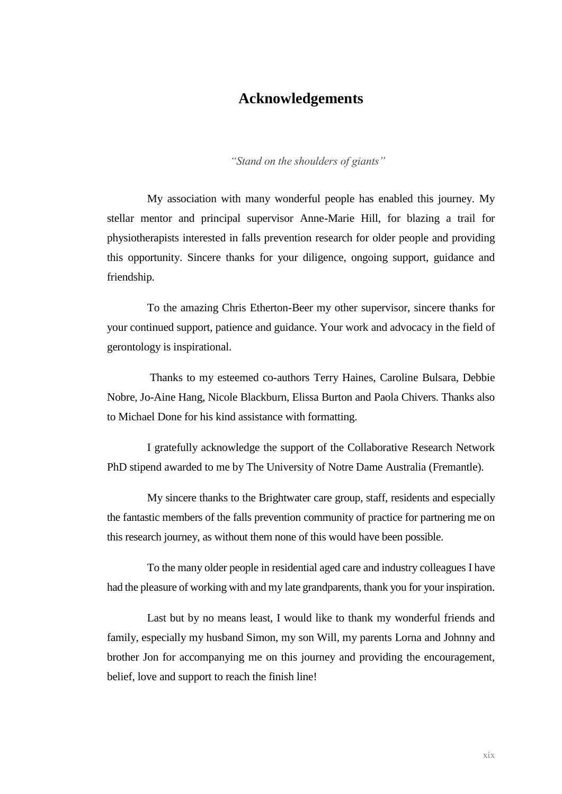## **Acknowledgements**

*"Stand on the shoulders of giants"*

My association with many wonderful people has enabled this journey. My stellar mentor and principal supervisor Anne-Marie Hill, for blazing a trail for physiotherapists interested in falls prevention research for older people and providing this opportunity. Sincere thanks for your diligence, ongoing support, guidance and friendship.

To the amazing Chris Etherton-Beer my other supervisor, sincere thanks for your continued support, patience and guidance. Your work and advocacy in the field of gerontology is inspirational.

Thanks to my esteemed co-authors Terry Haines, Caroline Bulsara, Debbie Nobre, Jo-Aine Hang, Nicole Blackburn, Elissa Burton and Paola Chivers. Thanks also to Michael Done for his kind assistance with formatting.

I gratefully acknowledge the support of the Collaborative Research Network PhD stipend awarded to me by The University of Notre Dame Australia (Fremantle).

My sincere thanks to the Brightwater care group, staff, residents and especially the fantastic members of the falls prevention community of practice for partnering me on this research journey, as without them none of this would have been possible.

To the many older people in residential aged care and industry colleagues I have had the pleasure of working with and my late grandparents, thank you for your inspiration.

Last but by no means least, I would like to thank my wonderful friends and family, especially my husband Simon, my son Will, my parents Lorna and Johnny and brother Jon for accompanying me on this journey and providing the encouragement, belief, love and support to reach the finish line!